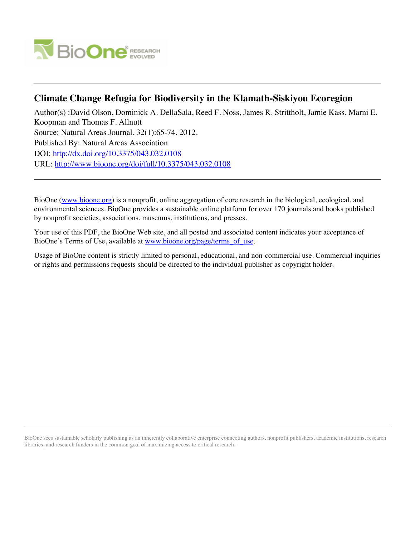

# **Climate Change Refugia for Biodiversity in the Klamath-Siskiyou Ecoregion**

Author(s) :David Olson, Dominick A. DellaSala, Reed F. Noss, James R. Strittholt, Jamie Kass, Marni E. Koopman and Thomas F. Allnutt Source: Natural Areas Journal, 32(1):65-74. 2012. Published By: Natural Areas Association DOI:<http://dx.doi.org/10.3375/043.032.0108> URL: <http://www.bioone.org/doi/full/10.3375/043.032.0108>

BioOne [\(www.bioone.org\)](http://www.bioone.org) is a nonprofit, online aggregation of core research in the biological, ecological, and environmental sciences. BioOne provides a sustainable online platform for over 170 journals and books published by nonprofit societies, associations, museums, institutions, and presses.

Your use of this PDF, the BioOne Web site, and all posted and associated content indicates your acceptance of BioOne's Terms of Use, available at [www.bioone.org/page/terms\\_of\\_use.](http://www.bioone.org/page/terms_of_use)

Usage of BioOne content is strictly limited to personal, educational, and non-commercial use. Commercial inquiries or rights and permissions requests should be directed to the individual publisher as copyright holder.

BioOne sees sustainable scholarly publishing as an inherently collaborative enterprise connecting authors, nonprofit publishers, academic institutions, research libraries, and research funders in the common goal of maximizing access to critical research.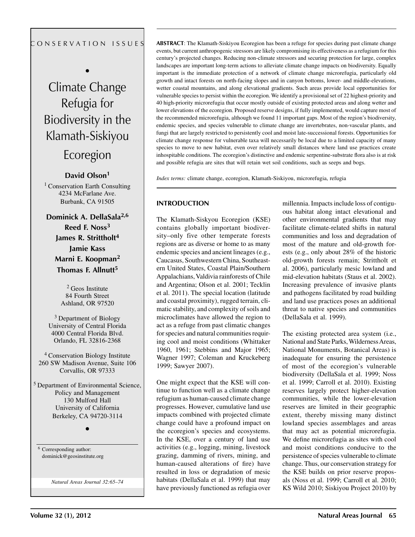#### CONSERVATION ISSUES

• Climate Change Refugia for Biodiversity in the Klamath-Siskiyou

Ecoregion

## **David Olson<sup>1</sup>**

<sup>1</sup> Conservation Earth Consulting 4234 McFarlane Ave. Burbank, CA 91505

**Dominick A. DellaSala2,6 Reed F. Noss<sup>3</sup> James R. Strittholt4 Jamie Kass Marni E. Koopman<sup>2</sup> Thomas F. Allnutt<sup>5</sup>**

> 2 Geos Institute 84 Fourth Street Ashland, OR 97520

3 Department of Biology University of Central Florida 4000 Central Florida Blvd. Orlando, FL 32816-2368

4 Conservation Biology Institute 260 SW Madison Avenue, Suite 106 Corvallis, OR 97333

5 Department of Environmental Science, Policy and Management 130 Mulford Hall University of California Berkeley, CA 94720-3114

•

6 Corresponding author: dominick@geosinstitute.org

*Natural Areas Journal 32:65–74*

**ABSTRACT**: The Klamath-Siskiyou Ecoregion has been a refuge for species during past climate change events, but current anthropogenic stressors are likely compromising its effectiveness as a refugium for this century's projected changes. Reducing non-climate stressors and securing protection for large, complex landscapes are important long-term actions to alleviate climate change impacts on biodiversity. Equally important is the immediate protection of a network of climate change microrefugia, particularly old growth and intact forests on north-facing slopes and in canyon bottoms, lower- and middle-elevations, wetter coastal mountains, and along elevational gradients. Such areas provide local opportunities for vulnerable species to persist within the ecoregion. We identify a provisional set of 22 highest-priority and 40 high-priority microrefugia that occur mostly outside of existing protected areas and along wetter and lower elevations of the ecoregion. Proposed reserve designs, if fully implemented, would capture most of the recommended microrefugia, although we found 11 important gaps. Most of the region's biodiversity, endemic species, and species vulnerable to climate change are invertebrates, non-vascular plants, and fungi that are largely restricted to persistently cool and moist late-successional forests. Opportunities for climate change response for vulnerable taxa will necessarily be local due to a limited capacity of many species to move to new habitat, even over relatively small distances where land use practices create inhospitable conditions. The ecoregion's distinctive and endemic serpentine-substrate flora also is at risk and possible refugia are sites that will retain wet soil conditions, such as seeps and bogs.

*Index terms:* climate change, ecoregion, Klamath-Siskiyou, microrefugia, refugia

## **INTRODUCTION**

The Klamath-Siskyou Ecoregion (KSE) contains globally important biodiversity–only five other temperate forests regions are as diverse or home to as many endemic species and ancient lineages (e.g., Caucasus, Southwestern China, Southeastern United States, Coastal Plain/Southern Appalachians, Valdivia rainforests of Chile and Argentina; Olson et al. 2001; Tecklin et al. 2011). The special location (latitude and coastal proximity), rugged terrain, climatic stability, and complexity of soils and microclimates have allowed the region to act as a refuge from past climatic changes for species and natural communities requiring cool and moist conditions (Whittaker 1960, 1961; Stebbins and Major 1965; Wagner 1997; Coleman and Kruckeberg 1999; Sawyer 2007).

One might expect that the KSE will continue to function well as a climate change refugium as human-caused climate change progresses. However, cumulative land use impacts combined with projected climate change could have a profound impact on the ecoregion's species and ecosystems. In the KSE, over a century of land use activities (e.g., logging, mining, livestock grazing, damming of rivers, mining, and human-caused alterations of fire) have resulted in loss or degradation of mesic habitats (DellaSala et al. 1999) that may have previously functioned as refugia over millennia. Impacts include loss of contiguous habitat along intact elevational and other environmental gradients that may facilitate climate-related shifts in natural communities and loss and degradation of most of the mature and old-growth forests (e.g., only about 28% of the historic old-growth forests remain; Strittholt et al. 2006), particularly mesic lowland and mid-elevation habitats (Staus et al. 2002). Increasing prevalence of invasive plants and pathogens facilitated by road building and land use practices poses an additional threat to native species and communities (DellaSala et al. 1999).

The existing protected area system (i.e., National and State Parks, Wilderness Areas, National Monuments, Botanical Areas) is inadequate for ensuring the persistence of most of the ecoregion's vulnerable biodiversity (DellaSala et al. 1999; Noss et al. 1999; Carroll et al. 2010). Existing reserves largely protect higher-elevation communities, while the lower-elevation reserves are limited in their geographic extent, thereby missing many distinct lowland species assemblages and areas that may act as potential microrefugia. We define microrefugia as sites with cool and moist conditions conducive to the persistence of species vulnerable to climate change. Thus, our conservation strategy for the KSE builds on prior reserve proposals (Noss et al. 1999; Carroll et al. 2010; KS Wild 2010; Siskiyou Project 2010) by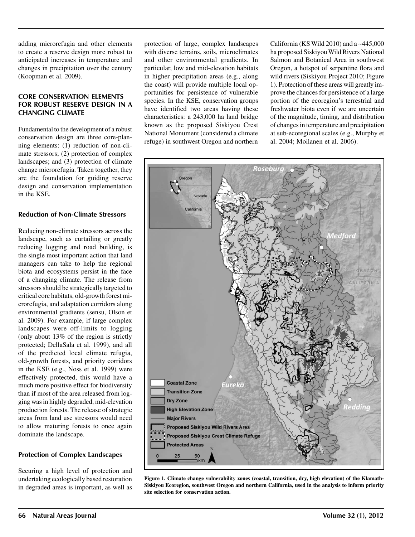adding microrefugia and other elements to create a reserve design more robust to anticipated increases in temperature and changes in precipitation over the century (Koopman et al. 2009).

#### **CORE CONSERVATION ELEMENTS FOR ROBUST RESERVE DESIGN IN A CHANGING CLIMATE**

Fundamental to the development of a robust conservation design are three core-planning elements: (1) reduction of non-climate stressors; (2) protection of complex landscapes; and (3) protection of climate change microrefugia. Taken together, they are the foundation for guiding reserve design and conservation implementation in the KSE.

#### **Reduction of Non-Climate Stressors**

Reducing non-climate stressors across the landscape, such as curtailing or greatly reducing logging and road building, is the single most important action that land managers can take to help the regional biota and ecosystems persist in the face of a changing climate. The release from stressors should be strategically targeted to critical core habitats, old-growth forest microrefugia, and adaptation corridors along environmental gradients (sensu, Olson et al. 2009). For example, if large complex landscapes were off-limits to logging (only about 13% of the region is strictly protected; DellaSala et al. 1999), and all of the predicted local climate refugia, old-growth forests, and priority corridors in the KSE (e.g., Noss et al. 1999) were effectively protected, this would have a much more positive effect for biodiversity than if most of the area released from logging was in highly degraded, mid-elevation production forests. The release of strategic areas from land use stressors would need to allow maturing forests to once again dominate the landscape.

#### **Protection of Complex Landscapes**

Securing a high level of protection and undertaking ecologically based restoration in degraded areas is important, as well as protection of large, complex landscapes with diverse terrains, soils, microclimates and other environmental gradients. In particular, low and mid-elevation habitats in higher precipitation areas (e.g., along the coast) will provide multiple local opportunities for persistence of vulnerable species. In the KSE, conservation groups have identified two areas having these characteristics: a 243,000 ha land bridge known as the proposed Siskiyou Crest National Monument (considered a climate refuge) in southwest Oregon and northern

California (KS Wild 2010) and a  $~145,000$ ha proposed Siskiyou Wild Rivers National Salmon and Botanical Area in southwest Oregon, a hotspot of serpentine flora and wild rivers (Siskiyou Project 2010; Figure 1). Protection of these areas will greatly improve the chances for persistence of a large portion of the ecoregion's terrestrial and freshwater biota even if we are uncertain of the magnitude, timing, and distribution of changes in temperature and precipitation at sub-ecoregional scales (e.g., Murphy et al. 2004; Moilanen et al. 2006).



**Figure 1. Climate change vulnerability zones (coastal, transition, dry, high elevation) of the Klamath-Siskiyou Ecoregion, southwest Oregon and northern California, used in the analysis to inform priority site selection for conservation action.**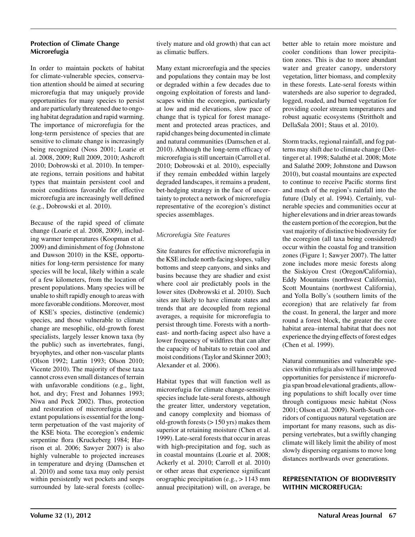#### **Protection of Climate Change Microrefugia**

In order to maintain pockets of habitat for climate-vulnerable species, conservation attention should be aimed at securing microrefugia that may uniquely provide opportunities for many species to persist and are particularly threatened due to ongoing habitat degradation and rapid warming. The importance of microrefugia for the long-term persistence of species that are sensitive to climate change is increasingly being recognized (Noss 2001; Loarie et al. 2008, 2009; Rull 2009, 2010; Ashcroft 2010; Dobrowski et al. 2010). In temperate regions, terrain positions and habitat types that maintain persistent cool and moist conditions favorable for effective microrefugia are increasingly well defined (e.g., Dobrowski et al. 2010).

Because of the rapid speed of climate change (Loarie et al. 2008, 2009), including warmer temperatures (Koopman et al. 2009) and diminishment of fog (Johnstone and Dawson 2010) in the KSE, opportunities for long-term persistence for many species will be local, likely within a scale of a few kilometers, from the location of present populations. Many species will be unable to shift rapidly enough to areas with more favorable conditions. Moreover, most of KSE's species, distinctive (endemic) species, and those vulnerable to climate change are mesophilic, old-growth forest specialists, largely lesser known taxa (by the public) such as invertebrates, fungi, bryophytes, and other non-vascular plants (Olson 1992; Lattin 1993; Olson 2010; Vicente 2010). The majority of these taxa cannot cross even small distances of terrain with unfavorable conditions (e.g., light, hot, and dry; Frest and Johannes 1993; Niwa and Peck 2002). Thus, protection and restoration of microrefugia around extant populations is essential for the longterm perpetuation of the vast majority of the KSE biota. The ecoregion's endemic serpentine flora (Kruckeberg 1984; Harrison et al. 2006; Sawyer 2007) is also highly vulnerable to projected increases in temperature and drying (Damschen et al. 2010) and some taxa may only persist within persistently wet pockets and seeps surrounded by late-seral forests (collectively mature and old growth) that can act as climatic buffers.

Many extant microrefugia and the species and populations they contain may be lost or degraded within a few decades due to ongoing exploitation of forests and landscapes within the ecoregion, particularly at low and mid elevations, slow pace of change that is typical for forest management and protected areas practices, and rapid changes being documented in climate and natural communities (Damschen et al. 2010). Although the long-term efficacy of microrefugia is still uncertain (Carroll et al. 2010; Dobrowski et al. 2010), especially if they remain embedded within largely degraded landscapes, it remains a prudent, bet-hedging strategy in the face of uncertainty to protect a network of microrefugia representative of the ecoregion's distinct species assemblages.

# *Microrefugia Site Features*

Site features for effective microrefugia in the KSE include north-facing slopes, valley bottoms and steep canyons, and sinks and basins because they are shadier and exist where cool air predictably pools in the lower sites (Dobrowski et al. 2010). Such sites are likely to have climate states and trends that are decoupled from regional averages, a requisite for microrefugia to persist through time. Forests with a northeast- and north-facing aspect also have a lower frequency of wildfires that can alter the capacity of habitats to retain cool and moist conditions (Taylor and Skinner 2003; Alexander et al. 2006).

Habitat types that will function well as microrefugia for climate change-sensitive species include late-seral forests, although the greater litter, understory vegetation, and canopy complexity and biomass of old-growth forests (> 150 yrs) makes them superior at retaining moisture (Chen et al. 1999). Late-seral forests that occur in areas with high-precipitation and fog, such as in coastal mountains (Loarie et al. 2008; Ackerly et al. 2010; Carroll et al. 2010) or other areas that experience significant orographic precipitation (e.g., > 1143 mm annual precipitation) will, on average, be better able to retain more moisture and cooler conditions than lower precipitation zones. This is due to more abundant water and greater canopy, understory vegetation, litter biomass, and complexity in these forests. Late-seral forests within watersheds are also superior to degraded, logged, roaded, and burned vegetation for providing cooler stream temperatures and robust aquatic ecosystems (Strittholt and DellaSala 2001; Staus et al. 2010).

Storm tracks, regional rainfall, and fog patterns may shift due to climate change (Dettinger et al. 1998; Salathé et al. 2008; Mote and Salathé 2009; Johnstone and Dawson 2010), but coastal mountains are expected to continue to receive Pacific storms first and much of the region's rainfall into the future (Daly et al. 1994). Certainly, vulnerable species and communities occur at higher elevations and in drier areas towards the eastern portion of the ecoregion, but the vast majority of distinctive biodiversity for the ecoregion (all taxa being considered) occur within the coastal fog and transition zones (Figure 1; Sawyer 2007). The latter zone includes more mesic forests along the Siskiyou Crest (Oregon/California), Eddy Mountains (northwest California), Scott Mountains (northwest California), and Yolla Bolly's (southern limits of the ecoregion) that are relatively far from the coast. In general, the larger and more round a forest block, the greater the core habitat area–internal habitat that does not experience the drying effects of forest edges (Chen et al. 1999).

Natural communities and vulnerable species within refugia also will have improved opportunities for persistence if microrefugia span broad elevational gradients, allowing populations to shift locally over time through contiguous mesic habitat (Noss 2001; Olson et al. 2009). North-South corridors of contiguous natural vegetation are important for many reasons, such as dispersing vertebrates, but a swiftly changing climate will likely limit the ability of most slowly dispersing organisms to move long distances northwards over generations.

## **REPRESENTATION OF BIODIVERSITY WITHIN MICROREFUGIA:**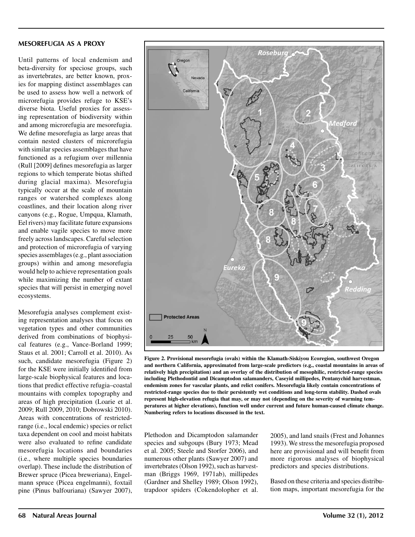#### **MESOREFUGIA AS A PROXY**

Until patterns of local endemism and beta-diversity for speciose groups, such as invertebrates, are better known, proxies for mapping distinct assemblages can be used to assess how well a network of microrefugia provides refuge to KSE's diverse biota. Useful proxies for assessing representation of biodiversity within and among microrefugia are mesorefugia. We define mesorefugia as large areas that contain nested clusters of microrefugia with similar species assemblages that have functioned as a refugium over millennia (Rull [2009] defines mesorefugia as larger regions to which temperate biotas shifted during glacial maxima). Mesorefugia typically occur at the scale of mountain ranges or watershed complexes along coastlines, and their location along river canyons (e.g., Rogue, Umpqua, Klamath, Eel rivers) may facilitate future expansions and enable vagile species to move more freely across landscapes. Careful selection and protection of microrefugia of varying species assemblages (e.g., plant association groups) within and among mesorefugia would help to achieve representation goals while maximizing the number of extant species that will persist in emerging novel ecosystems.

Mesorefugia analyses complement existing representation analyses that focus on vegetation types and other communities derived from combinations of biophysical features (e.g., Vance-Borland 1999; Staus et al. 2001; Carroll et al. 2010). As such, candidate mesorefugia (Figure 2) for the KSE were initially identified from large-scale biophysical features and locations that predict effective refugia–coastal mountains with complex topography and areas of high precipitation (Loarie et al. 2009; Rull 2009, 2010; Dobrowski 2010). Areas with concentrations of restrictedrange (i.e., local endemic) species or relict taxa dependent on cool and moist habitats were also evaluated to refine candidate mesorefugia locations and boundaries (i.e., where multiple species boundaries overlap). These include the distribution of Brewer spruce (Picea breweriana), Engelmann spruce (Picea engelmanni), foxtail pine (Pinus balfouriana) (Sawyer 2007),



**Figure 2. Provisional mesorefugia (ovals) within the Klamath-Siskiyou Ecoregion, southwest Oregon and northern California, approximated from large-scale predictors (e.g., coastal mountains in areas of relatively high precipitation) and an overlay of the distribution of mesophilic, restricted-range species including Plethodontid and Dicamptodon salamanders, Caseyid millipedes, Pentanychid harvestman, endemism zones for vascular plants, and relict conifers. Mesorefugia likely contain concentrations of restricted-range species due to their persistently wet conditions and long-term stability. Dashed ovals represent high-elevation refugia that may, or may not (depending on the severity of warming temperatures at higher elevations), function well under current and future human-caused climate change. Numbering refers to locations discussed in the text.**

Plethodon and Dicamptodon salamander species and subgoups (Bury 1973; Mead et al. 2005; Steele and Storfer 2006), and numerous other plants (Sawyer 2007) and invertebrates (Olson 1992), such as harvestman (Briggs 1969, 1971ab), millipedes (Gardner and Shelley 1989; Olson 1992), trapdoor spiders (Cokendolopher et al.

2005), and land snails (Frest and Johannes 1993). We stress the mesorefugia proposed here are provisional and will benefit from more rigorous analyses of biophysical predictors and species distributions.

Based on these criteria and species distribution maps, important mesorefugia for the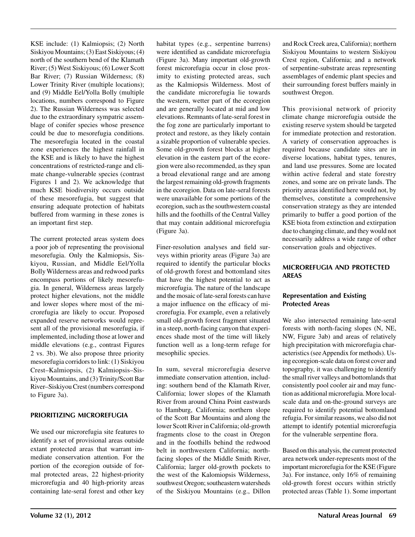KSE include: (1) Kalmiopsis; (2) North Siskiyou Mountains; (3) East Siskiyous; (4) north of the southern bend of the Klamath River; (5) West Siskiyous; (6) Lower Scott Bar River; (7) Russian Wilderness; (8) Lower Trinity River (multiple locations); and (9) Middle Eel/Yolla Bolly (multiple locations, numbers correspond to Figure 2). The Russian Wilderness was selected due to the extraordinary sympatric assemblage of conifer species whose presence could be due to mesorefugia conditions. The mesorefugia located in the coastal zone experiences the highest rainfall in the KSE and is likely to have the highest concentrations of restricted-range and climate change-vulnerable species (contrast Figures 1 and 2). We acknowledge that much KSE biodiversity occurs outside of these mesorefugia, but suggest that ensuring adequate protection of habitats buffered from warming in these zones is an important first step.

The current protected areas system does a poor job of representing the provisional mesorefugia. Only the Kalmiopsis, Siskiyou, Russian, and Middle Eel/Yolla Bolly Wilderness areas and redwood parks encompass portions of likely mesorefugia. In general, Wilderness areas largely protect higher elevations, not the middle and lower slopes where most of the microrefugia are likely to occur. Proposed expanded reserve networks would represent all of the provisional mesorefugia, if implemented, including those at lower and middle elevations (e.g., contrast Figures 2 vs. 3b). We also propose three priority mesorefugia corridors to link: (1) Siskiyou Crest–Kalmiopsis, (2) Kalmiopsis–Siskiyou Mountains, and (3) Trinity/Scott Bar River–Siskiyou Crest (numbers correspond to Figure 3a).

#### **PRIORITIZING MICROREFUGIA**

We used our microrefugia site features to identify a set of provisional areas outside extant protected areas that warrant immediate conservation attention. For the portion of the ecoregion outside of formal protected areas, 22 highest-priority microrefugia and 40 high-priority areas containing late-seral forest and other key

habitat types (e.g., serpentine barrens) were identified as candidate microrefugia (Figure 3a). Many important old-growth forest microrefugia occur in close proximity to existing protected areas, such as the Kalmiopsis Wilderness. Most of the candidate microrefugia lie towards the western, wetter part of the ecoregion and are generally located at mid and low elevations. Remnants of late-seral forest in the fog zone are particularly important to protect and restore, as they likely contain a sizable proportion of vulnerable species. Some old-growth forest blocks at higher elevation in the eastern part of the ecoregion were also recommended, as they span a broad elevational range and are among the largest remaining old-growth fragments in the ecoregion. Data on late-seral forests were unavailable for some portions of the ecoregion, such as the southwestern coastal hills and the foothills of the Central Valley that may contain additional microrefugia (Figure 3a).

Finer-resolution analyses and field surveys within priority areas (Figure 3a) are required to identify the particular blocks of old-growth forest and bottomland sites that have the highest potential to act as microrefugia. The nature of the landscape and the mosaic of late-seral forests can have a major influence on the efficacy of microrefugia. For example, even a relatively small old-growth forest fragment situated in a steep, north-facing canyon that experiences shade most of the time will likely function well as a long-term refuge for mesophilic species.

In sum, several microrefugia deserve immediate conservation attention, including: southern bend of the Klamath River, California; lower slopes of the Klamath River from around China Point eastwards to Hamburg, California; northern slope of the Scott Bar Mountains and along the lower Scott River in California; old-growth fragments close to the coast in Oregon and in the foothills behind the redwood belt in northwestern California; northfacing slopes of the Middle Smith River, California; larger old-growth pockets to the west of the Kalomiopsis Wilderness, southwest Oregon; southeastern watersheds of the Siskiyou Mountains (e.g., Dillon and Rock Creek area, California); northern Siskiyou Mountains to western Siskiyou Crest region, California; and a network of serpentine-substrate areas representing assemblages of endemic plant species and their surrounding forest buffers mainly in southwest Oregon.

This provisional network of priority climate change microrefugia outside the existing reserve system should be targeted for immediate protection and restoration. A variety of conservation approaches is required because candidate sites are in diverse locations, habitat types, tenures, and land use pressures. Some are located within active federal and state forestry zones, and some are on private lands. The priority areas identified here would not, by themselves, constitute a comprehensive conservation strategy as they are intended primarily to buffer a good portion of the KSE biota from extinction and extirpation due to changing climate, and they would not necessarily address a wide range of other conservation goals and objectives.

#### **MICROREFUGIA AND PROTECTED AREAS**

## **Representation and Existing Protected Areas**

We also intersected remaining late-seral forests with north-facing slopes (N, NE, NW, Figure 3ab) and areas of relatively high precipitation with microrefugia characteristics (see Appendix for methods). Using ecoregion-scale data on forest cover and topography, it was challenging to identify the small river valleys and bottomlands that consistently pool cooler air and may function as additional microrefugia. More localscale data and on-the-ground surveys are required to identify potential bottomland refugia. For similar reasons, we also did not attempt to identify potential microrefugia for the vulnerable serpentine flora.

Based on this analysis, the current protected area network under-represents most of the important microrefugia for the KSE (Figure 3a). For instance, only 16% of remaining old-growth forest occurs within strictly protected areas (Table 1). Some important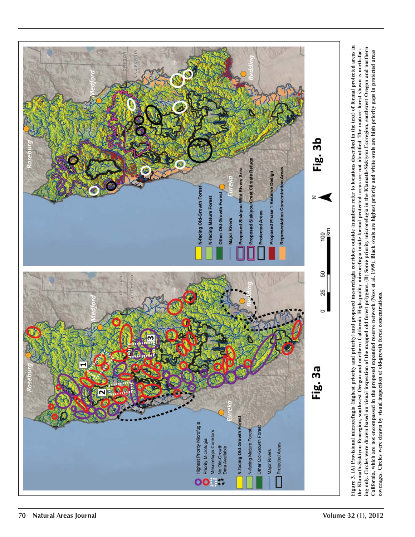

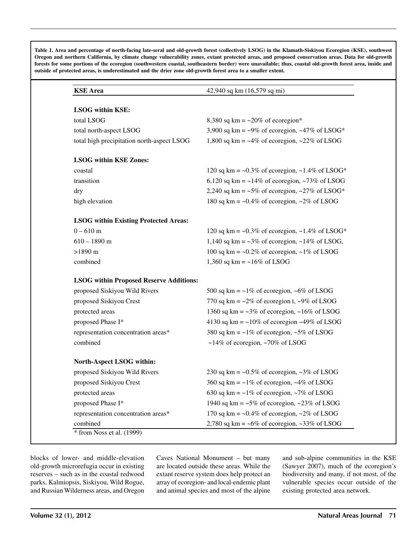**Table 1. Area and percentage of north-facing late-seral and old-growth forest (collectively LSOG) in the Klamath-Siskiyou Ecoregion (KSE), southwest Oregon and northern California, by climate change vulnerability zones, extant protected areas, and proposed conservation areas. Data for old-growth forests for some portions of the ecoregion (southwestern coastal, southeastern border) were unavailable; thus, coastal old-growth forest area, inside and outside of protected areas, is underestimated and the drier zone old-growth forest area to a smaller extent.**

| <b>KSE</b> Area                                | 42,940 sq km (16,579 sq mi)                                  |
|------------------------------------------------|--------------------------------------------------------------|
| <b>LSOG</b> within KSE:                        |                                                              |
| total LSOG                                     | 8,380 sq km = $\approx$ 20% of ecoregion*                    |
| total north-aspect LSOG                        | 3,900 sq km = $\sim$ 9% of ecoregion, $\sim$ 47% of LSOG*    |
| total high precipitation north-aspect LSOG     | 1,800 sq km = $\sim$ 4% of ecoregion, $\sim$ 22% of LSOG     |
| <b>LSOG within KSE Zones:</b>                  |                                                              |
| coastal                                        | 120 sq km = $\sim 0.3\%$ of ecoregion, $\sim 1.4\%$ of LSOG* |
| transition                                     | 6,120 sq km = $\sim$ 14% of ecoregion, $\sim$ 73% of LSOG    |
| dry                                            | 2,240 sq km = $\sim$ 5% of ecoregion, $\sim$ 27% of LSOG*    |
| high elevation                                 | 180 sq km = $\sim$ 0.4% of ecoregion, $\sim$ 2% of LSOG      |
| <b>LSOG within Existing Protected Areas:</b>   |                                                              |
| $0 - 610$ m                                    | 120 sq km = $\sim 0.3\%$ of ecoregion, $\sim 1.4\%$ of LSOG* |
| $610 - 1890$ m                                 | 1,140 sq km = $\sim$ 3% of ecoregion, $\sim$ 14% of LSOG,    |
| $>1890 \text{ m}$                              | 100 sq km = $\sim 0.2\%$ of ecoregion, $\sim 1\%$ of LSOG    |
| combined                                       | 1,360 sq km = $\sim$ 16% of LSOG                             |
| <b>LSOG within Proposed Reserve Additions:</b> |                                                              |
| proposed Siskiyou Wild Rivers                  | 500 sq km = $\sim$ 1% of ecoregion, $\sim$ 6% of LSOG        |
| proposed Siskiyou Crest                        | 770 sq km = $\sim$ 2% of ecoregion t, $\sim$ 9% of LSOG      |
| protected areas                                | 1360 sq km = $\sim$ 3% of ecoregion, $\sim$ 16% of LSOG      |
| proposed Phase I*                              | 4130 sq km = $\sim$ 10% of ecoregion $\sim$ 49% of LSOG      |
| representation concentration areas*            | 380 sq km = $\sim$ 1% of ecoregion, $\sim$ 5% of LSOG        |
| combined                                       | $\sim$ 14% of ecoregion, $\sim$ 70% of LSOG                  |
| North-Aspect LSOG within:                      |                                                              |
| proposed Siskiyou Wild Rivers                  | 230 sq km = $\sim 0.5\%$ of ecoregion, $\sim 3\%$ of LSOG    |
| proposed Siskiyou Crest                        | 360 sq km = $\sim$ 1% of ecoregion, $\sim$ 4% of LSOG        |
| protected areas                                | 630 sq km = $\sim$ 1% of ecoregion, $\sim$ 7% of LSOG        |
| proposed Phase I*                              | 1940 sq km = $\sim$ 5% of ecoregion, $\sim$ 23% of LSOG      |
| representation concentration areas*            | 170 sq km = $\sim 0.4\%$ of ecoregion, $\sim 2\%$ of LSOG    |
| combined                                       | 2,780 sq km = $\sim$ 6% of ecoregion, $\sim$ 33% of LSOG     |

blocks of lower- and middle-elevation old-growth microrefugia occur in existing reserves – such as in the coastal redwood parks, Kalmiopsis, Siskiyou, Wild Rogue, and Russian Wilderness areas, and Oregon Caves National Monument – but many are located outside these areas. While the extant reserve system does help protect an array of ecoregion- and local-endemic plant and animal species and most of the alpine and sub-alpine communities in the KSE (Sawyer 2007), much of the ecoregion's biodiversity and many, if not most, of the vulnerable species occur outside of the existing protected area network.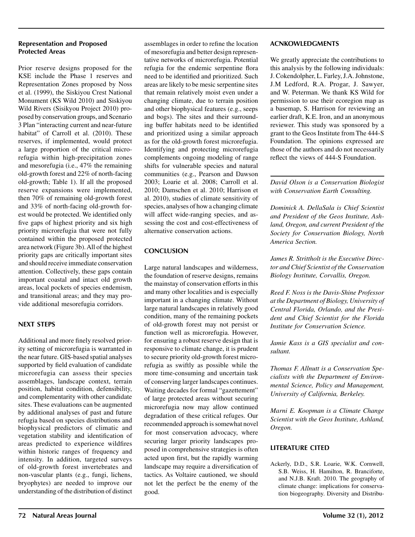#### **Representation and Proposed Protected Areas**

Prior reserve designs proposed for the KSE include the Phase 1 reserves and Representation Zones proposed by Noss et al. (1999), the Siskiyou Crest National Monument (KS Wild 2010) and Siskiyou Wild Rivers (Sisikyou Project 2010) proposed by conservation groups, and Scenario 3 Plan "interacting current and near-future habitat" of Carroll et al. (2010). These reserves, if implemented, would protect a large proportion of the critical microrefugia within high-precipitation zones and mesorefugia (i.e., 47% the remaining old-growth forest and 22% of north-facing old-growth; Table 1). If all the proposed reserve expansions were implemented, then 70% of remaining old-growth forest and 33% of north-facing old-growth forest would be protected. We identified only five gaps of highest priority and six high priority microrefugia that were not fully contained within the proposed protected area network (Figure 3b). All of the highest priority gaps are critically important sites and should receive immediate conservation attention. Collectively, these gaps contain important coastal and intact old growth areas, local pockets of species endemism, and transitional areas; and they may provide additional mesorefugia corridors.

#### **NEXT STEPS**

Additional and more finely resolved priority setting of microrefugia is warranted in the near future. GIS-based spatial analyses supported by field evaluation of candidate microrefugia can assess their species assemblages, landscape context, terrain position, habitat condition, defensibility, and complementarity with other candidate sites. These evaluations can be augmented by additional analyses of past and future refugia based on species distributions and biophysical predictors of climatic and vegetation stability and identification of areas predicted to experience wildfires within historic ranges of frequency and intensity. In addition, targeted surveys of old-growth forest invertebrates and non-vascular plants (e.g., fungi, lichens, bryophytes) are needed to improve our understanding of the distribution of distinct assemblages in order to refine the location of mesorefugia and better design representative networks of microrefugia. Potential refugia for the endemic serpentine flora need to be identified and prioritized. Such areas are likely to be mesic serpentine sites that remain relatively moist even under a changing climate, due to terrain position and other biophysical features (e.g., seeps and bogs). The sites and their surrounding buffer habitats need to be identified and prioritized using a similar approach as for the old-growth forest microrefugia. Identifying and protecting microrefugia complements ongoing modeling of range shifts for vulnerable species and natural communities (e.g., Pearson and Dawson 2003; Loarie et al. 2008; Carroll et al. 2010; Damschen et al. 2010; Harrison et al. 2010), studies of climate sensitivity of species, analyses of how a changing climate will affect wide-ranging species, and assessing the cost and cost-effectiveness of alternative conservation actions.

## **CONCLUSION**

Large natural landscapes and wilderness, the foundation of reserve designs, remains the mainstay of conservation efforts in this and many other localities and is especially important in a changing climate. Without large natural landscapes in relatively good condition, many of the remaining pockets of old-growth forest may not persist or function well as microrefugia. However, for ensuring a robust reserve design that is responsive to climate change, it is prudent to secure priority old-growth forest microrefugia as swiftly as possible while the more time-consuming and uncertain task of conserving larger landscapes continues. Waiting decades for formal "gazettement" of large protected areas without securing microrefugia now may allow continued degradation of these critical refuges. Our recommended approach is somewhat novel for most conservation advocacy, where securing larger priority landscapes proposed in comprehensive strategies is often acted upon first, but the rapidly warming landscape may require a diversification of tactics. As Voltaire cautioned, we should not let the perfect be the enemy of the good.

#### **ACNKOWLEDGMENTS**

We greatly appreciate the contributions to this analysis by the following individuals: J. Cokendolpher, L. Farley, J.A. Johnstone, J.M Ledford, R.A. Progar, J. Sawyer, and W. Peterman. We thank KS Wild for permission to use their ecoregion map as a basemap, S. Harrison for reviewing an earlier draft, K.E. Iron, and an anonymous reviewer. This study was sponsored by a grant to the Geos Institute from The 444-S Foundation. The opinions expressed are those of the authors and do not necessarily reflect the views of 444-S Foundation.

*David Olson is a Conservation Biologist with Conservation Earth Consulting.*

*Dominick A. DellaSala is Chief Scientist and President of the Geos Institute, Ashland, Oregon, and current President of the Society for Conservation Biology, North America Section.*

*James R. Strittholt is the Executive Director and Chief Scientist of the Conservation Biology Institute, Corvallis, Oregon.*

*Reed F. Noss is the Davis-Shine Professor at the Department of Biology, University of Central Florida, Orlando, and the President and Chief Scientist for the Florida Institute for Conservation Science.*

*Jamie Kass is a GIS specialist and consultant.*

*Thomas F. Allnutt is a Conservation Specialists with the Department of Environmental Science, Policy and Management, University of California, Berkeley.*

*Marni E. Koopman is a Climate Change Scientist with the Geos Institute, Ashland, Oregon.*

# **LITERATURE CITED**

Ackerly, D.D., S.R. Loarie, W.K. Cornwell, S.B. Weiss, H. Hamilton, R. Branciforte, and N.J.B. Kraft. 2010. The geography of climate change: implications for conservation biogeography. Diversity and Distribu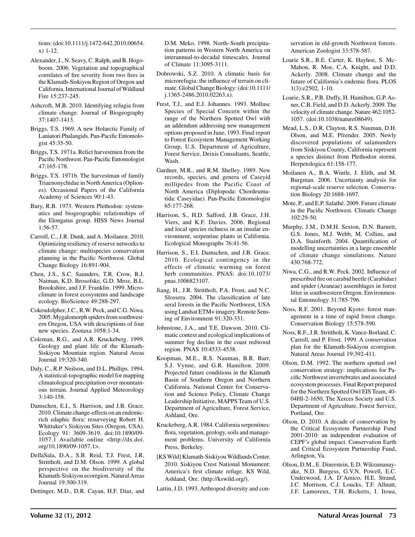tions: (doi:10.1111/j.1472-642.2010.00654. x) 1-12.

- Alexander, J., N. Seavy, C. Ralph, and B. Hogoboom. 2006. Vegetation and topographical correlates of fire severity from two fires in the Klamath-Siskiyou Region of Oregon and California. International Journal of Wildland Fire 15:237-245.
- Ashcroft, M.B. 2010. Identifying refugia from climate change. Journal of Biogeography 37:1407-1413.
- Briggs, T.S. 1969. A new Holarctic Family of Laniatori Phalangids. Pan-Pacific Entomologist 45:35-50.
- Briggs, T.S. 1971a. Relict harvestmen from the Pacific Northwest. Pan-Pacific Entomologist  $47.165 - 178$
- Briggs. T.S. 1971b. The harvestman of family Triaenonychidae in North America (Opliones). Occasional Papers of the California Academy of Sciences 90:1-43.
- Bury, R.B. 1973. Western Plethodon: systematics and biogeographic relationships of the Elongatus group. HISS News Journal 1:56-57.
- Carroll, C., J.R. Dunk, and A. Moilanen. 2010. Optimizing resiliency of reserve networks to climate change: multispecies conservation planning in the Pacific Northwest. Global Change Biology 16:891-904.
- Chen, J.S., S.C. Saunders, T.R. Crow, R.J. Naiman, K.D. Brosofske, G.D. Mroz, B.L. Brookshire, and J.F. Franklin. 1999. Microclimate in forest ecosystems and landscape ecology. BioScience 49:288-297.
- Cokendolpher, J.C., R.W. Peck, and C.G. Niwa. 2005. Mygalomorph spiders from southwestern Oregon, USA with descriptions of four new species. Zootaxa 1058:1-34.
- Coleman, R.G., and A.R. Kruckeberg. 1999. Geology and plant life of the Klamath-Siskiyou Mountain region. Natural Areas Journal 19:320-340.
- Daly, C., R.P. Neilson, and D.L. Phillips. 1994. A statistical-topographic model for mapping climatological precipitation over mountainous terrain. Journal Applied Meteorology 3:140-158.
- Damschen, E.I., S. Harrison, and J.B. Grace. 2010. Climate change-effects on an endemicrich edaphic flora: resurveying Robert H. Whittaker's Siskiyou Sites (Oregon, USA). Ecology 91: 3609-3619. doi:10.1890/09- 1057.1 Available online <http://dx.doi. org/10.1890/09-1057.1>.
- DellaSala, D.A., S.B. Reid, T.J. Frest, J.R. Strittholt, and D.M. Olson. 1999. A global perspective on the biodiversity of the Klamath-Siskiyou ecoregion. Natural Areas Journal 19:300-319.

Dettinger, M.D., D.R. Cayan, H.F. Diaz, and

D.M. Meko. 1998. North–South precipitation patterns in Western North America on interannual-to-decadal timescales. Journal of Climate 11:3095-3111.

- Dobrowski, S.Z. 2010. A climatic basis for microrefugia: the influence of terrain on climate. Global Change Biology: (doi:10.1111/ j.1365-2486.2010.02263.x).
- Frest, T.J., and E.J. Johannes. 1993. Mollusc Species of Special Concern within the range of the Northern Spotted Owl with an addendum addressing new management options proposed in June, 1993. Final report to Forest Ecosystem Management Working Group, U.S. Department of Agriculture, Forest Service, Deixis Consultants, Seattle, Wash.
- Gardner, M.R., and R.M. Shelley. 1989. New records, species, and genera of Caseyid millipedes from the Pacific Coast of North America (Diplopoda: Chordeumatida: Caseyidae). Pan-Pacific Entomologist 65:177-268.
- Harrison, S., H.D. Safford, J.B. Grace, J.H. Viers, and K.F. Davies. 2006. Regional and local species richness in an insular environment, serpentine plants in California. Ecological Monographs 76:41-56.
- Harrison, S., E.I. Damschen, and J.B. Grace. 2010. Ecological contingency in the effects of climatic warming on forest herb communities. PNAS: doi:10.1073/ pnas.1006823107.
- Jiang, H., J.R. Strittholt, P.A. Frost, and N.C. Slossera. 2004. The classification of late seral forests in the Pacific Northwest, USA using Landsat ETM+ imagery. Remote Sensing of Environment 91:320-331.
- Johnstone, J.A., and T.E. Dawson. 2010. Climatic context and ecological implications of summer fog decline in the coast redwood region. PNAS 10:4533-4538.
- Koopman, M.E., R.S. Nauman, B.R. Barr, S.J. Vynne, and G.R. Hamilton. 2009. Projected future conditions in the Klamath Basin of Southern Oregon and Northern California. National Center for Conservation and Science Policy, Climate Change Leadership Initiative, MAPPS Team of U.S. Department of Agriculture, Forest Service, Ashland, Ore.
- Kruckeberg, A.R. 1984. California serpentines: flora, vegetation, geology, soils and management problems. University of California Press, Berkeley.
- [KS Wild] Klamath-Siskiyou Wildlands Center. 2010. Siskiyou Crest National Monument: America's first climate refuge. KS Wild, Ashland, Ore. (http://kswild.org/).
- Lattin, J.D. 1993. Arthropod diversity and con-

servation in old-growth Northwest forests. American Zoologist 33:578-587.

- Loarie S.R., B.E. Carter, K. Hayhoe, S. Mc-Mahon, R. Moe, C.A. Knight, and D.D. Ackerly. 2008. Climate change and the future of California's endemic flora. PLOS 1(3):e2502, 1-10.
- Loarie, S.R., P.B. Duffy, H. Hamilton, G.P. Asner, C.B. Field, and D.D. Ackerly. 2009. The velocity of climate change. Nature 462:1052- 1057. (doi:10.1038/nature08649).
- Mead, L.S., D.R. Clayton, R.S. Nauman, D.H. Olson, and M.E. Pfrender. 2005. Newly discovered populations of salamanders from Siskiyou County, California represent a species distinct from Plethodon stormi. Herpetologica 61:158-177.
- Moilanen A., B.A. Wintle, J. Elith, and M. Burgman. 2006. Uncertainty analysis for regional-scale reserve selection. Conservation Biology 20:1688-1697.
- Mote, P., and E.P. Salathé. 2009. Future climate in the Pacific Northwest. Climatic Change 102:29-50.
- Murphy, J.M., D.M.H. Sexton, D.N. Barnett, G.S. Jones, M.J. Webb, M. Collins, and D.A. Stainforth. 2004. Quantification of modelling uncertainties in a large ensemble of climate change simulations. Nature 430:768-772.
- Niwa, C.G., and R.W. Peck. 2002. Influence of prescribed fire on carabid beetle (Carabidae) and spider (Araneae) assemblages in forest litter in southwestern Oregon. Environmental Entomology 31:785-796.
- Noss, R.F. 2001. Beyond Kyoto: forest management in a time of rapid forest change. Conservation Biology 15:578-590.
- Noss, R.F., J.R. Strittholt, K. Vance-Borland, C. Carroll, and P. Frost. 1999. A conservation plan for the Klamath-Siskiyou ecoregion. Natural Areas Journal 19:392-411.
- Olson, D.M. 1992. The northern spotted owl conservation strategy: implications for Pacific Northwest invertebrates and associated ecosystem processes. Final Report prepared for the Northern Spotted Owl EIS Team, 40- 04HI-2-1650, The Xerces Society and U.S. Department of Agriculture, Forest Service, Portland, Ore.
- Olson, D. 2010. A decade of conservation by the Critical Ecosystem Partnership Fund 2001-2010: an independent evaluation of CEPF's global impact. Conservation Earth and Critical Ecosystem Partnership Fund, Arlington, Va.
- Olson, D.M., E. Dinerstein, E.D. Wikramanayake, N.D. Burgess, G.V.N. Powell, E.C. Underwood, J.A. D'Amico, H.E. Strand, J.C. Morrison, C.J. Loucks, T.F. Allnutt, J.F. Lamoreux, T.H. Ricketts, I. Itoua,